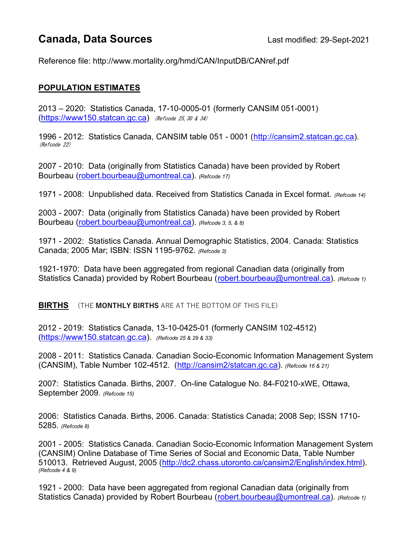# **Canada, Data Sources** Last modified: 29-Sept-2021

Reference file: http://www.mortality.org/hmd/CAN/InputDB/CANref.pdf

#### POPULATION ESTIMATES

2013 – 2020: Statistics Canada, 17-10-0005-01 (formerly CANSIM 051-0001)  $(htps://www150.statcan.qc.ca)$  (Refcode 25, 30 & 34)

1996 - 2012: Statistics Canada, CANSIM table 051 - 0001 (http://cansim2.statcan.gc.ca). (Refcode 22)

2007 - 2010: Data (originally from Statistics Canada) have been provided by Robert Bourbeau (robert.bourbeau@umontreal.ca). (Refcode 17)

1971 - 2008: Unpublished data. Received from Statistics Canada in Excel format. (Refcode 14)

2003 - 2007: Data (originally from Statistics Canada) have been provided by Robert Bourbeau (robert.bourbeau@umontreal.ca). (Refcode 3, 5, & 8)

1971 - 2002: Statistics Canada. Annual Demographic Statistics, 2004. Canada: Statistics Canada; 2005 Mar; ISBN: ISSN 1195-9762. (Refcode 3)

1921-1970: Data have been aggregated from regional Canadian data (originally from Statistics Canada) provided by Robert Bourbeau (robert.bourbeau@umontreal.ca). (Refcode 1)

**BIRTHS** (THE MONTHLY BIRTHS ARE AT THE BOTTOM OF THIS FILE)

2012 - 2019: Statistics Canada, 13-10-0425-01 (formerly CANSIM 102-4512) (https://www150.statcan.gc.ca). (Refcode 25 & 29 & 33)

2008 - 2011: Statistics Canada. Canadian Socio-Economic Information Management System (CANSIM), Table Number 102-4512. (http://cansim2/statcan.gc.ca). (Refcode 16 & 21)

2007: Statistics Canada. Births, 2007. On-line Catalogue No. 84-F0210-xWE, Ottawa, September 2009. (Refcode 15)

2006: Statistics Canada. Births, 2006. Canada: Statistics Canada; 2008 Sep; ISSN 1710- 5285. (Refcode 8)

2001 - 2005: Statistics Canada. Canadian Socio-Economic Information Management System (CANSIM) Online Database of Time Series of Social and Economic Data, Table Number 510013. Retrieved August, 2005 (http://dc2.chass.utoronto.ca/cansim2/English/index.html). (Refcode 4 & 9)

1921 - 2000: Data have been aggregated from regional Canadian data (originally from Statistics Canada) provided by Robert Bourbeau (robert.bourbeau@umontreal.ca). (Refcode 1)